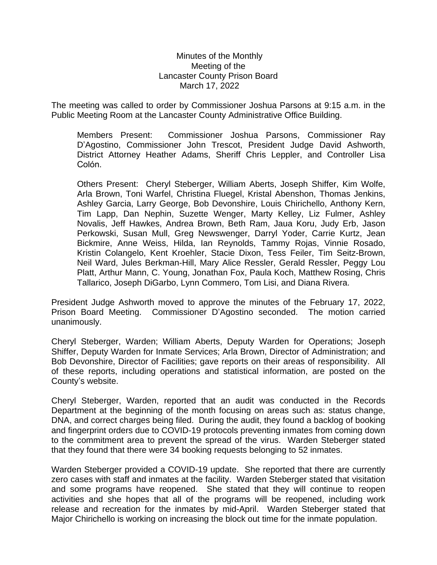## Minutes of the Monthly Meeting of the Lancaster County Prison Board March 17, 2022

The meeting was called to order by Commissioner Joshua Parsons at 9:15 a.m. in the Public Meeting Room at the Lancaster County Administrative Office Building.

Members Present: Commissioner Joshua Parsons, Commissioner Ray D'Agostino, Commissioner John Trescot, President Judge David Ashworth, District Attorney Heather Adams, Sheriff Chris Leppler, and Controller Lisa Colón.

Others Present: Cheryl Steberger, William Aberts, Joseph Shiffer, Kim Wolfe, Arla Brown, Toni Warfel, Christina Fluegel, Kristal Abenshon, Thomas Jenkins, Ashley Garcia, Larry George, Bob Devonshire, Louis Chirichello, Anthony Kern, Tim Lapp, Dan Nephin, Suzette Wenger, Marty Kelley, Liz Fulmer, Ashley Novalis, Jeff Hawkes, Andrea Brown, Beth Ram, Jaua Koru, Judy Erb, Jason Perkowski, Susan Mull, Greg Newswenger, Darryl Yoder, Carrie Kurtz, Jean Bickmire, Anne Weiss, Hilda, Ian Reynolds, Tammy Rojas, Vinnie Rosado, Kristin Colangelo, Kent Kroehler, Stacie Dixon, Tess Feiler, Tim Seitz-Brown, Neil Ward, Jules Berkman-Hill, Mary Alice Ressler, Gerald Ressler, Peggy Lou Platt, Arthur Mann, C. Young, Jonathan Fox, Paula Koch, Matthew Rosing, Chris Tallarico, Joseph DiGarbo, Lynn Commero, Tom Lisi, and Diana Rivera.

President Judge Ashworth moved to approve the minutes of the February 17, 2022, Prison Board Meeting. Commissioner D'Agostino seconded. The motion carried unanimously.

Cheryl Steberger, Warden; William Aberts, Deputy Warden for Operations; Joseph Shiffer, Deputy Warden for Inmate Services; Arla Brown, Director of Administration; and Bob Devonshire, Director of Facilities; gave reports on their areas of responsibility. All of these reports, including operations and statistical information, are posted on the County's website.

Cheryl Steberger, Warden, reported that an audit was conducted in the Records Department at the beginning of the month focusing on areas such as: status change, DNA, and correct charges being filed. During the audit, they found a backlog of booking and fingerprint orders due to COVID-19 protocols preventing inmates from coming down to the commitment area to prevent the spread of the virus. Warden Steberger stated that they found that there were 34 booking requests belonging to 52 inmates.

Warden Steberger provided a COVID-19 update. She reported that there are currently zero cases with staff and inmates at the facility. Warden Steberger stated that visitation and some programs have reopened. She stated that they will continue to reopen activities and she hopes that all of the programs will be reopened, including work release and recreation for the inmates by mid-April. Warden Steberger stated that Major Chirichello is working on increasing the block out time for the inmate population.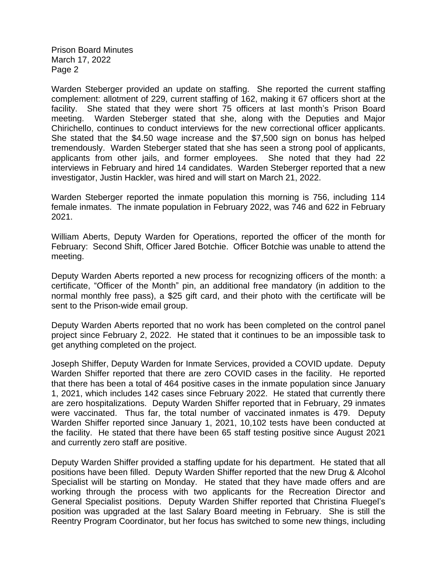Warden Steberger provided an update on staffing. She reported the current staffing complement: allotment of 229, current staffing of 162, making it 67 officers short at the facility. She stated that they were short 75 officers at last month's Prison Board meeting. Warden Steberger stated that she, along with the Deputies and Major Chirichello, continues to conduct interviews for the new correctional officer applicants. She stated that the \$4.50 wage increase and the \$7,500 sign on bonus has helped tremendously. Warden Steberger stated that she has seen a strong pool of applicants, applicants from other jails, and former employees. She noted that they had 22 interviews in February and hired 14 candidates. Warden Steberger reported that a new investigator, Justin Hackler, was hired and will start on March 21, 2022.

Warden Steberger reported the inmate population this morning is 756, including 114 female inmates. The inmate population in February 2022, was 746 and 622 in February 2021.

William Aberts, Deputy Warden for Operations, reported the officer of the month for February: Second Shift, Officer Jared Botchie. Officer Botchie was unable to attend the meeting.

Deputy Warden Aberts reported a new process for recognizing officers of the month: a certificate, "Officer of the Month" pin, an additional free mandatory (in addition to the normal monthly free pass), a \$25 gift card, and their photo with the certificate will be sent to the Prison-wide email group.

Deputy Warden Aberts reported that no work has been completed on the control panel project since February 2, 2022. He stated that it continues to be an impossible task to get anything completed on the project.

Joseph Shiffer, Deputy Warden for Inmate Services, provided a COVID update. Deputy Warden Shiffer reported that there are zero COVID cases in the facility. He reported that there has been a total of 464 positive cases in the inmate population since January 1, 2021, which includes 142 cases since February 2022. He stated that currently there are zero hospitalizations. Deputy Warden Shiffer reported that in February, 29 inmates were vaccinated. Thus far, the total number of vaccinated inmates is 479. Deputy Warden Shiffer reported since January 1, 2021, 10,102 tests have been conducted at the facility. He stated that there have been 65 staff testing positive since August 2021 and currently zero staff are positive.

Deputy Warden Shiffer provided a staffing update for his department. He stated that all positions have been filled. Deputy Warden Shiffer reported that the new Drug & Alcohol Specialist will be starting on Monday. He stated that they have made offers and are working through the process with two applicants for the Recreation Director and General Specialist positions. Deputy Warden Shiffer reported that Christina Fluegel's position was upgraded at the last Salary Board meeting in February. She is still the Reentry Program Coordinator, but her focus has switched to some new things, including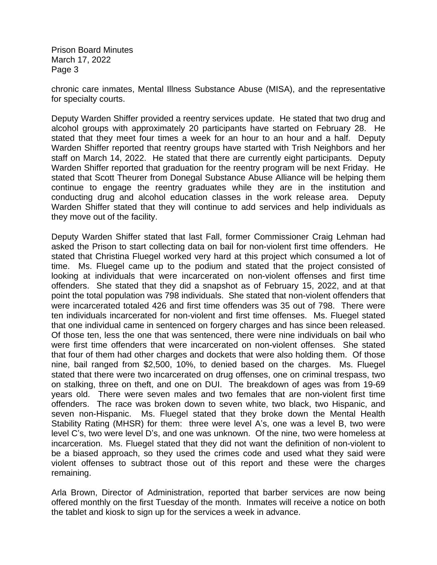chronic care inmates, Mental Illness Substance Abuse (MISA), and the representative for specialty courts.

Deputy Warden Shiffer provided a reentry services update. He stated that two drug and alcohol groups with approximately 20 participants have started on February 28. He stated that they meet four times a week for an hour to an hour and a half. Deputy Warden Shiffer reported that reentry groups have started with Trish Neighbors and her staff on March 14, 2022. He stated that there are currently eight participants. Deputy Warden Shiffer reported that graduation for the reentry program will be next Friday. He stated that Scott Theurer from Donegal Substance Abuse Alliance will be helping them continue to engage the reentry graduates while they are in the institution and conducting drug and alcohol education classes in the work release area. Deputy Warden Shiffer stated that they will continue to add services and help individuals as they move out of the facility.

Deputy Warden Shiffer stated that last Fall, former Commissioner Craig Lehman had asked the Prison to start collecting data on bail for non-violent first time offenders. He stated that Christina Fluegel worked very hard at this project which consumed a lot of time. Ms. Fluegel came up to the podium and stated that the project consisted of looking at individuals that were incarcerated on non-violent offenses and first time offenders. She stated that they did a snapshot as of February 15, 2022, and at that point the total population was 798 individuals. She stated that non-violent offenders that were incarcerated totaled 426 and first time offenders was 35 out of 798. There were ten individuals incarcerated for non-violent and first time offenses. Ms. Fluegel stated that one individual came in sentenced on forgery charges and has since been released. Of those ten, less the one that was sentenced, there were nine individuals on bail who were first time offenders that were incarcerated on non-violent offenses. She stated that four of them had other charges and dockets that were also holding them. Of those nine, bail ranged from \$2,500, 10%, to denied based on the charges. Ms. Fluegel stated that there were two incarcerated on drug offenses, one on criminal trespass, two on stalking, three on theft, and one on DUI. The breakdown of ages was from 19-69 years old. There were seven males and two females that are non-violent first time offenders. The race was broken down to seven white, two black, two Hispanic, and seven non-Hispanic. Ms. Fluegel stated that they broke down the Mental Health Stability Rating (MHSR) for them: three were level A's, one was a level B, two were level C's, two were level D's, and one was unknown. Of the nine, two were homeless at incarceration. Ms. Fluegel stated that they did not want the definition of non-violent to be a biased approach, so they used the crimes code and used what they said were violent offenses to subtract those out of this report and these were the charges remaining.

Arla Brown, Director of Administration, reported that barber services are now being offered monthly on the first Tuesday of the month. Inmates will receive a notice on both the tablet and kiosk to sign up for the services a week in advance.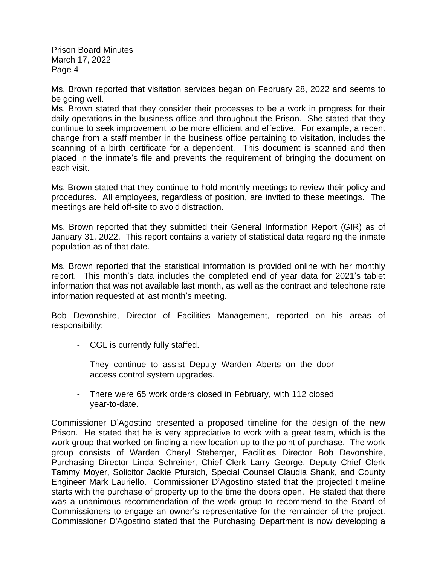Ms. Brown reported that visitation services began on February 28, 2022 and seems to be going well.

Ms. Brown stated that they consider their processes to be a work in progress for their daily operations in the business office and throughout the Prison. She stated that they continue to seek improvement to be more efficient and effective. For example, a recent change from a staff member in the business office pertaining to visitation, includes the scanning of a birth certificate for a dependent. This document is scanned and then placed in the inmate's file and prevents the requirement of bringing the document on each visit.

Ms. Brown stated that they continue to hold monthly meetings to review their policy and procedures. All employees, regardless of position, are invited to these meetings. The meetings are held off-site to avoid distraction.

Ms. Brown reported that they submitted their General Information Report (GIR) as of January 31, 2022. This report contains a variety of statistical data regarding the inmate population as of that date.

Ms. Brown reported that the statistical information is provided online with her monthly report. This month's data includes the completed end of year data for 2021's tablet information that was not available last month, as well as the contract and telephone rate information requested at last month's meeting.

Bob Devonshire, Director of Facilities Management, reported on his areas of responsibility:

- CGL is currently fully staffed.
- They continue to assist Deputy Warden Aberts on the door access control system upgrades.
- There were 65 work orders closed in February, with 112 closed year-to-date.

Commissioner D'Agostino presented a proposed timeline for the design of the new Prison. He stated that he is very appreciative to work with a great team, which is the work group that worked on finding a new location up to the point of purchase. The work group consists of Warden Cheryl Steberger, Facilities Director Bob Devonshire, Purchasing Director Linda Schreiner, Chief Clerk Larry George, Deputy Chief Clerk Tammy Moyer, Solicitor Jackie Pfursich, Special Counsel Claudia Shank, and County Engineer Mark Lauriello. Commissioner D'Agostino stated that the projected timeline starts with the purchase of property up to the time the doors open. He stated that there was a unanimous recommendation of the work group to recommend to the Board of Commissioners to engage an owner's representative for the remainder of the project. Commissioner D'Agostino stated that the Purchasing Department is now developing a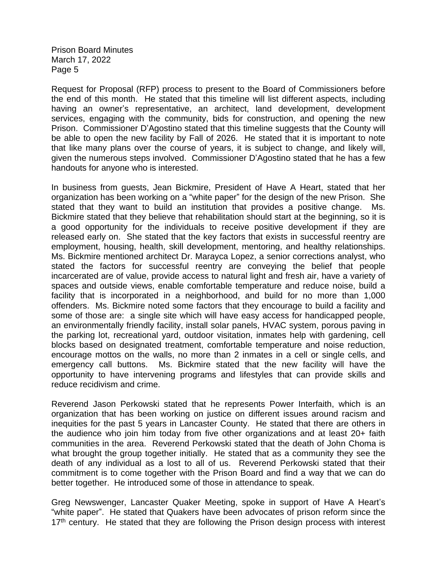Request for Proposal (RFP) process to present to the Board of Commissioners before the end of this month. He stated that this timeline will list different aspects, including having an owner's representative, an architect, land development, development services, engaging with the community, bids for construction, and opening the new Prison. Commissioner D'Agostino stated that this timeline suggests that the County will be able to open the new facility by Fall of 2026. He stated that it is important to note that like many plans over the course of years, it is subject to change, and likely will, given the numerous steps involved. Commissioner D'Agostino stated that he has a few handouts for anyone who is interested.

In business from guests, Jean Bickmire, President of Have A Heart, stated that her organization has been working on a "white paper" for the design of the new Prison. She stated that they want to build an institution that provides a positive change. Ms. Bickmire stated that they believe that rehabilitation should start at the beginning, so it is a good opportunity for the individuals to receive positive development if they are released early on. She stated that the key factors that exists in successful reentry are employment, housing, health, skill development, mentoring, and healthy relationships. Ms. Bickmire mentioned architect Dr. Marayca Lopez, a senior corrections analyst, who stated the factors for successful reentry are conveying the belief that people incarcerated are of value, provide access to natural light and fresh air, have a variety of spaces and outside views, enable comfortable temperature and reduce noise, build a facility that is incorporated in a neighborhood, and build for no more than 1,000 offenders. Ms. Bickmire noted some factors that they encourage to build a facility and some of those are: a single site which will have easy access for handicapped people, an environmentally friendly facility, install solar panels, HVAC system, porous paving in the parking lot, recreational yard, outdoor visitation, inmates help with gardening, cell blocks based on designated treatment, comfortable temperature and noise reduction, encourage mottos on the walls, no more than 2 inmates in a cell or single cells, and emergency call buttons. Ms. Bickmire stated that the new facility will have the opportunity to have intervening programs and lifestyles that can provide skills and reduce recidivism and crime.

Reverend Jason Perkowski stated that he represents Power Interfaith, which is an organization that has been working on justice on different issues around racism and inequities for the past 5 years in Lancaster County. He stated that there are others in the audience who join him today from five other organizations and at least 20+ faith communities in the area. Reverend Perkowski stated that the death of John Choma is what brought the group together initially. He stated that as a community they see the death of any individual as a lost to all of us. Reverend Perkowski stated that their commitment is to come together with the Prison Board and find a way that we can do better together. He introduced some of those in attendance to speak.

Greg Newswenger, Lancaster Quaker Meeting, spoke in support of Have A Heart's "white paper". He stated that Quakers have been advocates of prison reform since the  $17<sup>th</sup>$  century. He stated that they are following the Prison design process with interest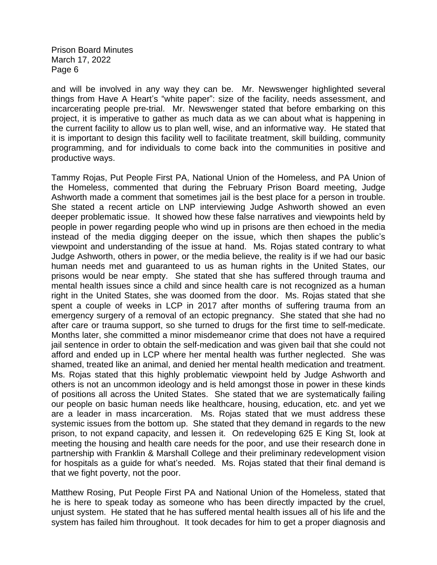and will be involved in any way they can be. Mr. Newswenger highlighted several things from Have A Heart's "white paper": size of the facility, needs assessment, and incarcerating people pre-trial. Mr. Newswenger stated that before embarking on this project, it is imperative to gather as much data as we can about what is happening in the current facility to allow us to plan well, wise, and an informative way. He stated that it is important to design this facility well to facilitate treatment, skill building, community programming, and for individuals to come back into the communities in positive and productive ways.

Tammy Rojas, Put People First PA, National Union of the Homeless, and PA Union of the Homeless, commented that during the February Prison Board meeting, Judge Ashworth made a comment that sometimes jail is the best place for a person in trouble. She stated a recent article on LNP interviewing Judge Ashworth showed an even deeper problematic issue. It showed how these false narratives and viewpoints held by people in power regarding people who wind up in prisons are then echoed in the media instead of the media digging deeper on the issue, which then shapes the public's viewpoint and understanding of the issue at hand. Ms. Rojas stated contrary to what Judge Ashworth, others in power, or the media believe, the reality is if we had our basic human needs met and guaranteed to us as human rights in the United States, our prisons would be near empty. She stated that she has suffered through trauma and mental health issues since a child and since health care is not recognized as a human right in the United States, she was doomed from the door. Ms. Rojas stated that she spent a couple of weeks in LCP in 2017 after months of suffering trauma from an emergency surgery of a removal of an ectopic pregnancy. She stated that she had no after care or trauma support, so she turned to drugs for the first time to self-medicate. Months later, she committed a minor misdemeanor crime that does not have a required jail sentence in order to obtain the self-medication and was given bail that she could not afford and ended up in LCP where her mental health was further neglected. She was shamed, treated like an animal, and denied her mental health medication and treatment. Ms. Rojas stated that this highly problematic viewpoint held by Judge Ashworth and others is not an uncommon ideology and is held amongst those in power in these kinds of positions all across the United States. She stated that we are systematically failing our people on basic human needs like healthcare, housing, education, etc. and yet we are a leader in mass incarceration. Ms. Rojas stated that we must address these systemic issues from the bottom up. She stated that they demand in regards to the new prison, to not expand capacity, and lessen it. On redeveloping 625 E King St, look at meeting the housing and health care needs for the poor, and use their research done in partnership with Franklin & Marshall College and their preliminary redevelopment vision for hospitals as a guide for what's needed. Ms. Rojas stated that their final demand is that we fight poverty, not the poor.

Matthew Rosing, Put People First PA and National Union of the Homeless, stated that he is here to speak today as someone who has been directly impacted by the cruel, unjust system. He stated that he has suffered mental health issues all of his life and the system has failed him throughout. It took decades for him to get a proper diagnosis and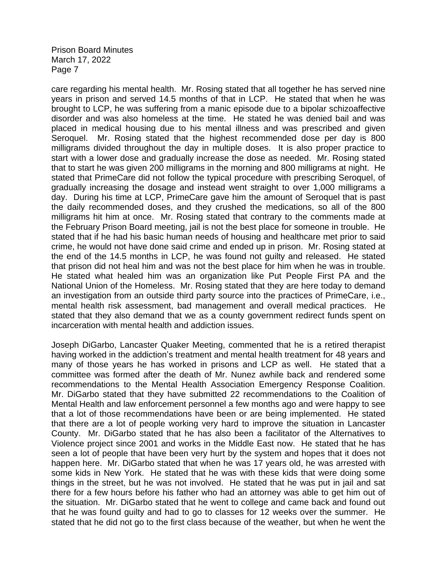care regarding his mental health. Mr. Rosing stated that all together he has served nine years in prison and served 14.5 months of that in LCP. He stated that when he was brought to LCP, he was suffering from a manic episode due to a bipolar schizoaffective disorder and was also homeless at the time. He stated he was denied bail and was placed in medical housing due to his mental illness and was prescribed and given Seroquel. Mr. Rosing stated that the highest recommended dose per day is 800 milligrams divided throughout the day in multiple doses. It is also proper practice to start with a lower dose and gradually increase the dose as needed. Mr. Rosing stated that to start he was given 200 milligrams in the morning and 800 milligrams at night. He stated that PrimeCare did not follow the typical procedure with prescribing Seroquel, of gradually increasing the dosage and instead went straight to over 1,000 milligrams a day. During his time at LCP, PrimeCare gave him the amount of Seroquel that is past the daily recommended doses, and they crushed the medications, so all of the 800 milligrams hit him at once. Mr. Rosing stated that contrary to the comments made at the February Prison Board meeting, jail is not the best place for someone in trouble. He stated that if he had his basic human needs of housing and healthcare met prior to said crime, he would not have done said crime and ended up in prison. Mr. Rosing stated at the end of the 14.5 months in LCP, he was found not guilty and released. He stated that prison did not heal him and was not the best place for him when he was in trouble. He stated what healed him was an organization like Put People First PA and the National Union of the Homeless. Mr. Rosing stated that they are here today to demand an investigation from an outside third party source into the practices of PrimeCare, i.e., mental health risk assessment, bad management and overall medical practices. He stated that they also demand that we as a county government redirect funds spent on incarceration with mental health and addiction issues.

Joseph DiGarbo, Lancaster Quaker Meeting, commented that he is a retired therapist having worked in the addiction's treatment and mental health treatment for 48 years and many of those years he has worked in prisons and LCP as well. He stated that a committee was formed after the death of Mr. Nunez awhile back and rendered some recommendations to the Mental Health Association Emergency Response Coalition. Mr. DiGarbo stated that they have submitted 22 recommendations to the Coalition of Mental Health and law enforcement personnel a few months ago and were happy to see that a lot of those recommendations have been or are being implemented. He stated that there are a lot of people working very hard to improve the situation in Lancaster County. Mr. DiGarbo stated that he has also been a facilitator of the Alternatives to Violence project since 2001 and works in the Middle East now. He stated that he has seen a lot of people that have been very hurt by the system and hopes that it does not happen here. Mr. DiGarbo stated that when he was 17 years old, he was arrested with some kids in New York. He stated that he was with these kids that were doing some things in the street, but he was not involved. He stated that he was put in jail and sat there for a few hours before his father who had an attorney was able to get him out of the situation. Mr. DiGarbo stated that he went to college and came back and found out that he was found guilty and had to go to classes for 12 weeks over the summer. He stated that he did not go to the first class because of the weather, but when he went the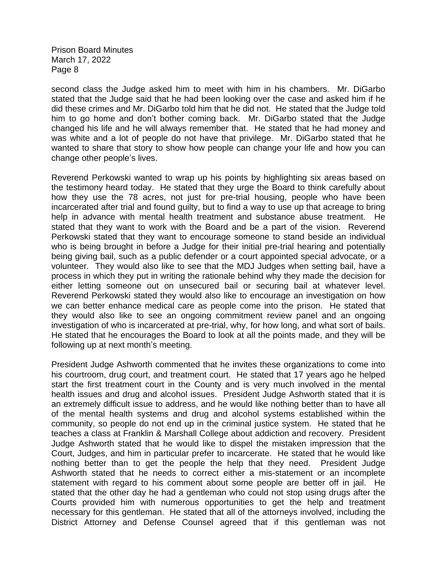second class the Judge asked him to meet with him in his chambers. Mr. DiGarbo stated that the Judge said that he had been looking over the case and asked him if he did these crimes and Mr. DiGarbo told him that he did not. He stated that the Judge told him to go home and don't bother coming back. Mr. DiGarbo stated that the Judge changed his life and he will always remember that. He stated that he had money and was white and a lot of people do not have that privilege. Mr. DiGarbo stated that he wanted to share that story to show how people can change your life and how you can change other people's lives.

Reverend Perkowski wanted to wrap up his points by highlighting six areas based on the testimony heard today. He stated that they urge the Board to think carefully about how they use the 78 acres, not just for pre-trial housing, people who have been incarcerated after trial and found guilty, but to find a way to use up that acreage to bring help in advance with mental health treatment and substance abuse treatment. He stated that they want to work with the Board and be a part of the vision. Reverend Perkowski stated that they want to encourage someone to stand beside an individual who is being brought in before a Judge for their initial pre-trial hearing and potentially being giving bail, such as a public defender or a court appointed special advocate, or a volunteer. They would also like to see that the MDJ Judges when setting bail, have a process in which they put in writing the rationale behind why they made the decision for either letting someone out on unsecured bail or securing bail at whatever level. Reverend Perkowski stated they would also like to encourage an investigation on how we can better enhance medical care as people come into the prison. He stated that they would also like to see an ongoing commitment review panel and an ongoing investigation of who is incarcerated at pre-trial, why, for how long, and what sort of bails. He stated that he encourages the Board to look at all the points made, and they will be following up at next month's meeting.

President Judge Ashworth commented that he invites these organizations to come into his courtroom, drug court, and treatment court. He stated that 17 years ago he helped start the first treatment court in the County and is very much involved in the mental health issues and drug and alcohol issues. President Judge Ashworth stated that it is an extremely difficult issue to address, and he would like nothing better than to have all of the mental health systems and drug and alcohol systems established within the community, so people do not end up in the criminal justice system. He stated that he teaches a class at Franklin & Marshall College about addiction and recovery. President Judge Ashworth stated that he would like to dispel the mistaken impression that the Court, Judges, and him in particular prefer to incarcerate. He stated that he would like nothing better than to get the people the help that they need. President Judge Ashworth stated that he needs to correct either a mis-statement or an incomplete statement with regard to his comment about some people are better off in jail. He stated that the other day he had a gentleman who could not stop using drugs after the Courts provided him with numerous opportunities to get the help and treatment necessary for this gentleman. He stated that all of the attorneys involved, including the District Attorney and Defense Counsel agreed that if this gentleman was not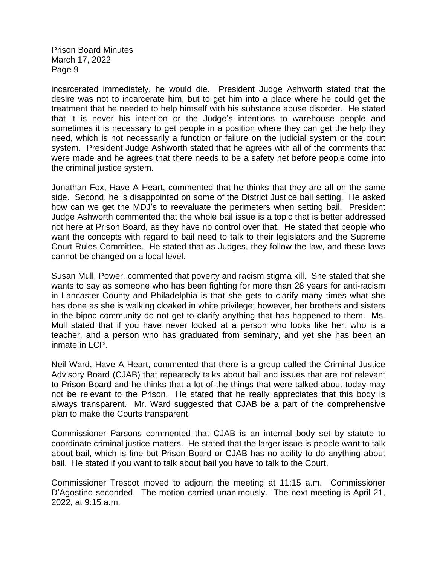incarcerated immediately, he would die. President Judge Ashworth stated that the desire was not to incarcerate him, but to get him into a place where he could get the treatment that he needed to help himself with his substance abuse disorder. He stated that it is never his intention or the Judge's intentions to warehouse people and sometimes it is necessary to get people in a position where they can get the help they need, which is not necessarily a function or failure on the judicial system or the court system. President Judge Ashworth stated that he agrees with all of the comments that were made and he agrees that there needs to be a safety net before people come into the criminal justice system.

Jonathan Fox, Have A Heart, commented that he thinks that they are all on the same side. Second, he is disappointed on some of the District Justice bail setting. He asked how can we get the MDJ's to reevaluate the perimeters when setting bail. President Judge Ashworth commented that the whole bail issue is a topic that is better addressed not here at Prison Board, as they have no control over that. He stated that people who want the concepts with regard to bail need to talk to their legislators and the Supreme Court Rules Committee. He stated that as Judges, they follow the law, and these laws cannot be changed on a local level.

Susan Mull, Power, commented that poverty and racism stigma kill. She stated that she wants to say as someone who has been fighting for more than 28 years for anti-racism in Lancaster County and Philadelphia is that she gets to clarify many times what she has done as she is walking cloaked in white privilege; however, her brothers and sisters in the bipoc community do not get to clarify anything that has happened to them. Ms. Mull stated that if you have never looked at a person who looks like her, who is a teacher, and a person who has graduated from seminary, and yet she has been an inmate in LCP.

Neil Ward, Have A Heart, commented that there is a group called the Criminal Justice Advisory Board (CJAB) that repeatedly talks about bail and issues that are not relevant to Prison Board and he thinks that a lot of the things that were talked about today may not be relevant to the Prison. He stated that he really appreciates that this body is always transparent. Mr. Ward suggested that CJAB be a part of the comprehensive plan to make the Courts transparent.

Commissioner Parsons commented that CJAB is an internal body set by statute to coordinate criminal justice matters. He stated that the larger issue is people want to talk about bail, which is fine but Prison Board or CJAB has no ability to do anything about bail. He stated if you want to talk about bail you have to talk to the Court.

Commissioner Trescot moved to adjourn the meeting at 11:15 a.m. Commissioner D'Agostino seconded. The motion carried unanimously. The next meeting is April 21, 2022, at 9:15 a.m.